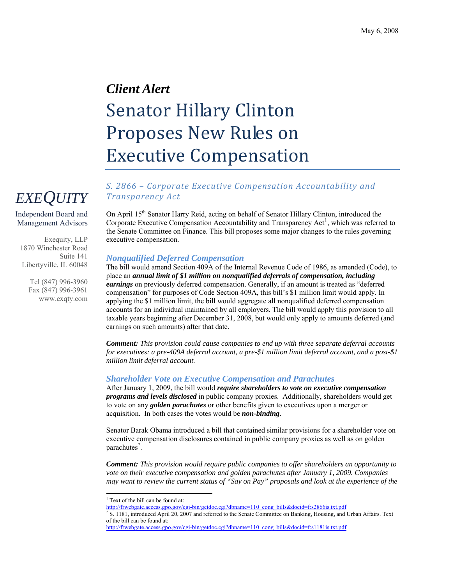# *Client Alert*  Senator Hillary Clinton Proposes New Rules on Executive Compensation

### *S. 2866 – Corporate Executive Compensation Accountability and Transparency Act*

On April 15<sup>th</sup> Senator Harry Reid, acting on behalf of Senator Hillary Clinton, introduced the Corporate Executive Compensation Accountability and Transparency Act<sup>[1](#page-0-0)</sup>, which was referred to the Senate Committee on Finance. This bill proposes some major changes to the rules governing executive compensation.

#### *Nonqualified Deferred Compensation*

The bill would amend Section 409A of the Internal Revenue Code of 1986, as amended (Code), to place an *annual limit of \$1 million on nonqualified deferrals of compensation, including earnings* on previously deferred compensation. Generally, if an amount is treated as "deferred compensation" for purposes of Code Section 409A, this bill's \$1 million limit would apply. In applying the \$1 million limit, the bill would aggregate all nonqualified deferred compensation accounts for an individual maintained by all employers. The bill would apply this provision to all taxable years beginning after December 31, 2008, but would only apply to amounts deferred (and earnings on such amounts) after that date.

*Comment: This provision could cause companies to end up with three separate deferral accounts for executives: a pre-409A deferral account, a pre-\$1 million limit deferral account, and a post-\$1 million limit deferral account.* 

#### *Shareholder Vote on Executive Compensation and Parachutes*

After January 1, 2009, the bill would *require shareholders to vote on executive compensation programs and levels disclosed* in public company proxies. Additionally, shareholders would get to vote on any *golden parachutes* or other benefits given to executives upon a merger or acquisition. In both cases the votes would be *non-binding*.

Senator Barak Obama introduced a bill that contained similar provisions for a shareholder vote on executive compensation disclosures contained in public company proxies as well as on golden parachutes $2$ .

*Comment: This provision would require public companies to offer shareholders an opportunity to vote on their executive compensation and golden parachutes after January 1, 2009. Companies may want to review the current status of "Say on Pay" proposals and look at the experience of the* 

# *EXEQUITY*

Independent Board and Management Advisors

Exequity, LLP 1870 Winchester Road Suite 141 Libertyville, IL 60048

> Tel (847) 996-3960 Fax (847) 996-3961 www.exqty.com

 $\overline{a}$ <sup>1</sup> Text of the bill can be found at:

[http://frwebgate.access.gpo.gov/cgi-bin/getdoc.cgi?dbname=110\\_cong\\_bills&docid=f:s2866is.txt.pdf](http://frwebgate.access.gpo.gov/cgi-bin/getdoc.cgi?dbname=110_cong_bills&docid=f:s2866is.txt.pdf)

<span id="page-0-1"></span><span id="page-0-0"></span> $S<sup>2</sup>$  S. 1181, introduced April 20, 2007 and referred to the Senate Committee on Banking, Housing, and Urban Affairs. Text of the bill can be found at:

[http://frwebgate.access.gpo.gov/cgi-bin/getdoc.cgi?dbname=110\\_cong\\_bills&docid=f:s1181is.txt.pdf](http://frwebgate.access.gpo.gov/cgi-bin/getdoc.cgi?dbname=110_cong_bills&docid=f:s1181is.txt.pdf)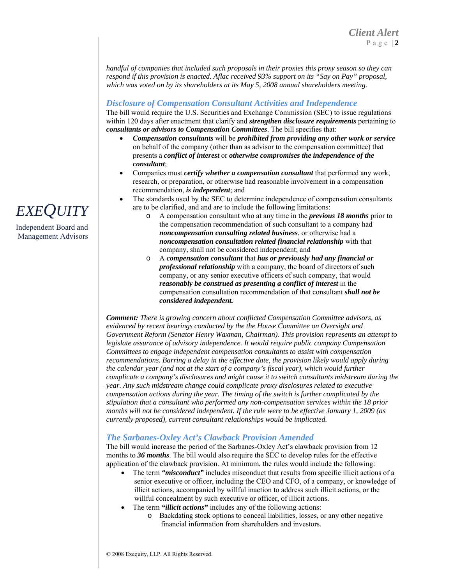*handful of companies that included such proposals in their proxies this proxy season so they can respond if this provision is enacted. Aflac received 93% support on its "Say on Pay" proposal, which was voted on by its shareholders at its May 5, 2008 annual shareholders meeting.* 

### *Disclosure of Compensation Consultant Activities and Independence*

The bill would require the U.S. Securities and Exchange Commission (SEC) to issue regulations within 120 days after enactment that clarify and *strengthen disclosure requirements* pertaining to *consultants or advisors to Compensation Committees*. The bill specifies that:

- *Compensation consultants* will be *prohibited from providing any other work or service* on behalf of the company (other than as advisor to the compensation committee) that presents a *conflict of interest* or *otherwise compromises the independence of the consultant*;
- Companies must *certify whether a compensation consultant* that performed any work, research, or preparation, or otherwise had reasonable involvement in a compensation recommendation, *is independent*; and
- The standards used by the SEC to determine independence of compensation consultants EXEQUITY are to be clarified, and and are to include the following limitations:
	- A compensation consultant who at any time in the *previous 18 months* prior to the compensation recommendation of such consultant to a company had *noncompensation consulting related business*, or otherwise had a *noncompensation consultation related financial relationship* with that company, shall not be considered independent; and
	- o A *compensation consultant* that *has or previously had any financial or professional relationship* with a company, the board of directors of such company, or any senior executive officers of such company, that would *reasonably be construed as presenting a conflict of interest* in the compensation consultation recommendation of that consultant *shall not be considered independent.*

*Comment: There is growing concern about conflicted Compensation Committee advisors, as evidenced by recent hearings conducted by the the House Committee on Oversight and Government Reform (Senator Henry Waxman, Chairman). This provision represents an attempt to legislate assurance of advisory independence. It would require public company Compensation Committees to engage independent compensation consultants to assist with compensation recommendations. Barring a delay in the effective date, the provision likely would apply during the calendar year (and not at the start of a company's fiscal year), which would further complicate a company's disclosures and might cause it to switch consultants midstream during the year. Any such midstream change could complicate proxy disclosures related to executive compensation actions during the year. The timing of the switch is further complicated by the stipulation that a consultant who performed any non-compensation services within the 18 prior months will not be considered independent. If the rule were to be effective January 1, 2009 (as currently proposed), current consultant relationships would be implicated.* 

#### *The Sarbanes-Oxley Act's Clawback Provision Amended*

The bill would increase the period of the Sarbanes-Oxley Act's clawback provision from 12 months to **36 months**. The bill would also require the SEC to develop rules for the effective application of the clawback provision. At minimum, the rules would include the following:

- The term *"misconduct"* includes misconduct that results from specific illicit actions of a senior executive or officer, including the CEO and CFO, of a company, or knowledge of illicit actions, accompanied by willful inaction to address such illicit actions, or the willful concealment by such executive or officer, of illicit actions.
- The term "*illicit actions*" includes any of the following actions:
	- o Backdating stock options to conceal liabilities, losses, or any other negative financial information from shareholders and investors.



Independent Board and Management Advisors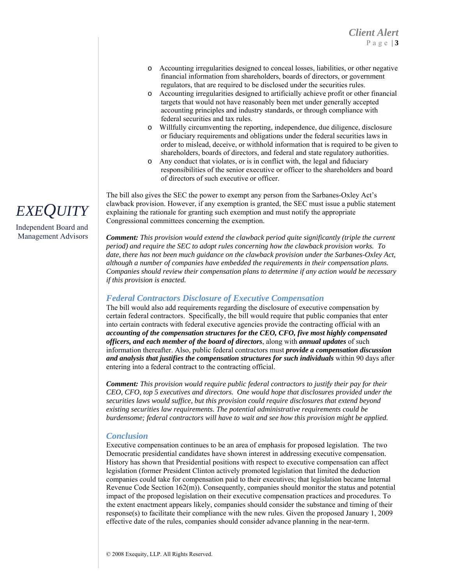- o Accounting irregularities designed to conceal losses, liabilities, or other negative financial information from shareholders, boards of directors, or government regulators, that are required to be disclosed under the securities rules.
- o Accounting irregularities designed to artificially achieve profit or other financial targets that would not have reasonably been met under generally accepted accounting principles and industry standards, or through compliance with federal securities and tax rules.
- o Willfully circumventing the reporting, independence, due diligence, disclosure or fiduciary requirements and obligations under the federal securities laws in order to mislead, deceive, or withhold information that is required to be given to shareholders, boards of directors, and federal and state regulatory authorities.
- Any conduct that violates, or is in conflict with, the legal and fiduciary responsibilities of the senior executive or officer to the shareholders and board of directors of such executive or officer.

The bill also gives the SEC the power to exempt any person from the Sarbanes-Oxley Act's clawback provision. However, if any exemption is granted, the SEC must issue a public statement explaining the rationale for granting such exemption and must notify the appropriate Congressional committees concerning the exemption.

Management Advisors *Comment: This provision would extend the clawback period quite significantly (triple the current period) and require the SEC to adopt rules concerning how the clawback provision works. To date, there has not been much guidance on the clawback provision under the Sarbanes-Oxley Act, although a number of companies have embedded the requirements in their compensation plans. Companies should review their compensation plans to determine if any action would be necessary if this provision is enacted.* 

#### *Federal Contractors Disclosure of Executive Compensation*

The bill would also add requirements regarding the disclosure of executive compensation by certain federal contractors. Specifically, the bill would require that public companies that enter into certain contracts with federal executive agencies provide the contracting official with an *accounting of the compensation structures for the CEO, CFO, five most highly compensated officers, and each member of the board of directors*, along with *annual updates* of such information thereafter. Also, public federal contractors must *provide a compensation discussion and analysis that justifies the compensation structures for such individuals* within 90 days after entering into a federal contract to the contracting official.

*Comment: This provision would require public federal contractors to justify their pay for their CEO, CFO, top 5 executives and directors. One would hope that disclosures provided under the securities laws would suffice, but this provision could require disclosures that extend beyond existing securities law requirements. The potential administrative requirements could be burdensome; federal contractors will have to wait and see how this provision might be applied.* 

#### *Conclusion*

Executive compensation continues to be an area of emphasis for proposed legislation. The two Democratic presidential candidates have shown interest in addressing executive compensation. History has shown that Presidential positions with respect to executive compensation can affect legislation (former President Clinton actively promoted legislation that limited the deduction companies could take for compensation paid to their executives; that legislation became Internal Revenue Code Section 162(m)). Consequently, companies should monitor the status and potential impact of the proposed legislation on their executive compensation practices and procedures. To the extent enactment appears likely, companies should consider the substance and timing of their response(s) to facilitate their compliance with the new rules. Given the proposed January 1, 2009 effective date of the rules, companies should consider advance planning in the near-term.



Independent Board and